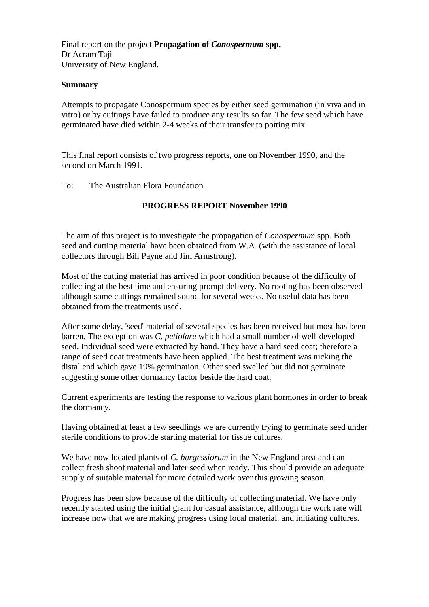Final report on the project **Propagation of** *Conospermum* **spp.**  Dr Acram Taji University of New England.

### **Summary**

Attempts to propagate Conospermum species by either seed germination (in viva and in vitro) or by cuttings have failed to produce any results so far. The few seed which have germinated have died within 2-4 weeks of their transfer to potting mix.

This final report consists of two progress reports, one on November 1990, and the second on March 1991.

To: The Australian Flora Foundation

## **PROGRESS REPORT November 1990**

The aim of this project is to investigate the propagation of *Conospermum* spp. Both seed and cutting material have been obtained from W.A. (with the assistance of local collectors through Bill Payne and Jim Armstrong).

Most of the cutting material has arrived in poor condition because of the difficulty of collecting at the best time and ensuring prompt delivery. No rooting has been observed although some cuttings remained sound for several weeks. No useful data has been obtained from the treatments used.

After some delay, 'seed' material of several species has been received but most has been barren. The exception was *C. petiolare* which had a small number of well-developed seed. Individual seed were extracted by hand. They have a hard seed coat; therefore a range of seed coat treatments have been applied. The best treatment was nicking the distal end which gave 19% germination. Other seed swelled but did not germinate suggesting some other dormancy factor beside the hard coat.

Current experiments are testing the response to various plant hormones in order to break the dormancy.

Having obtained at least a few seedlings we are currently trying to germinate seed under sterile conditions to provide starting material for tissue cultures.

We have now located plants of *C. burgessiorum* in the New England area and can collect fresh shoot material and later seed when ready. This should provide an adequate supply of suitable material for more detailed work over this growing season.

Progress has been slow because of the difficulty of collecting material. We have only recently started using the initial grant for casual assistance, although the work rate will increase now that we are making progress using local material. and initiating cultures.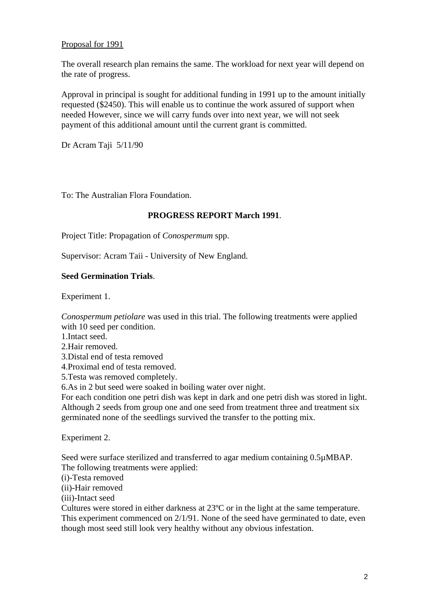## Proposal for 1991

The overall research plan remains the same. The workload for next year will depend on the rate of progress.

Approval in principal is sought for additional funding in 1991 up to the amount initially requested (\$2450). This will enable us to continue the work assured of support when needed However, since we will carry funds over into next year, we will not seek payment of this additional amount until the current grant is committed.

Dr Acram Taji 5/11/90

To: The Australian Flora Foundation.

#### **PROGRESS REPORT March 1991**.

Project Title: Propagation of *Conospermum* spp.

Supervisor: Acram Taii - University of New England.

### **Seed Germination Trials**.

Experiment 1.

*Conospermum petiolare* was used in this trial. The following treatments were applied with 10 seed per condition.

1.Intact seed.

2.Hair removed.

3.Distal end of testa removed

4.Proximal end of testa removed.

5.Testa was removed completely.

6.As in 2 but seed were soaked in boiling water over night.

For each condition one petri dish was kept in dark and one petri dish was stored in light. Although 2 seeds from group one and one seed from treatment three and treatment six germinated none of the seedlings survived the transfer to the potting mix.

Experiment 2.

Seed were surface sterilized and transferred to agar medium containing 0.5µMBAP. The following treatments were applied:

(i)-Testa removed

(ii)-Hair removed

(iii)-Intact seed

Cultures were stored in either darkness at 23ºC or in the light at the same temperature.

This experiment commenced on 2/1/91. None of the seed have germinated to date, even though most seed still look very healthy without any obvious infestation.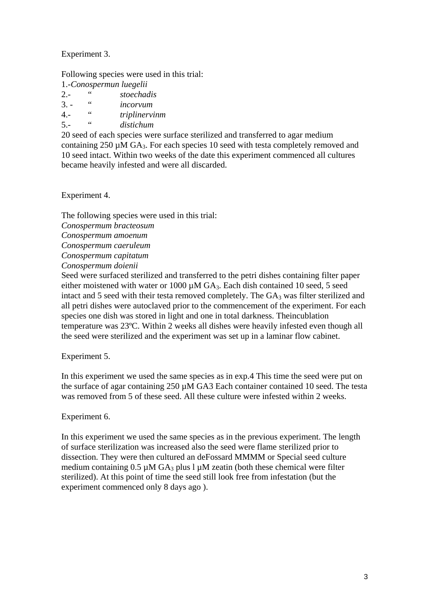Experiment 3.

Following species were used in this trial:

1.-*Conospermun luegelii*

| $2 -$  | 44 | stoechadis |
|--------|----|------------|
| $\sim$ |    |            |

3. - " *incorvum*

4.- " *triplinervinm*

5.- " *distichum*

20 seed of each species were surface sterilized and transferred to agar medium containing 250 µM GA3. For each species 10 seed with testa completely removed and 10 seed intact. Within two weeks of the date this experiment commenced all cultures became heavily infested and were all discarded.

Experiment 4.

The following species were used in this trial: *Conospermum bracteosum Conospermum amoenum Conospermum caeruleum Conospermum capitatum Conospermum doienii* 

Seed were surfaced sterilized and transferred to the petri dishes containing filter paper either moistened with water or 1000  $\mu$ M GA<sub>3</sub>. Each dish contained 10 seed, 5 seed intact and 5 seed with their testa removed completely. The  $GA_3$  was filter sterilized and all petri dishes were autoclaved prior to the commencement of the experiment. For each species one dish was stored in light and one in total darkness. Theincublation temperature was 23ºC. Within 2 weeks all dishes were heavily infested even though all the seed were sterilized and the experiment was set up in a laminar flow cabinet.

Experiment 5.

In this experiment we used the same species as in exp.4 This time the seed were put on the surface of agar containing 250 µM GA3 Each container contained 10 seed. The testa was removed from 5 of these seed. All these culture were infested within 2 weeks.

# Experiment 6.

In this experiment we used the same species as in the previous experiment. The length of surface sterilization was increased also the seed were flame sterilized prior to dissection. They were then cultured an deFossard MMMM or Special seed culture medium containing  $0.5 \mu M G A_3$  plus l  $\mu M$  zeatin (both these chemical were filter sterilized). At this point of time the seed still look free from infestation (but the experiment commenced only 8 days ago ).